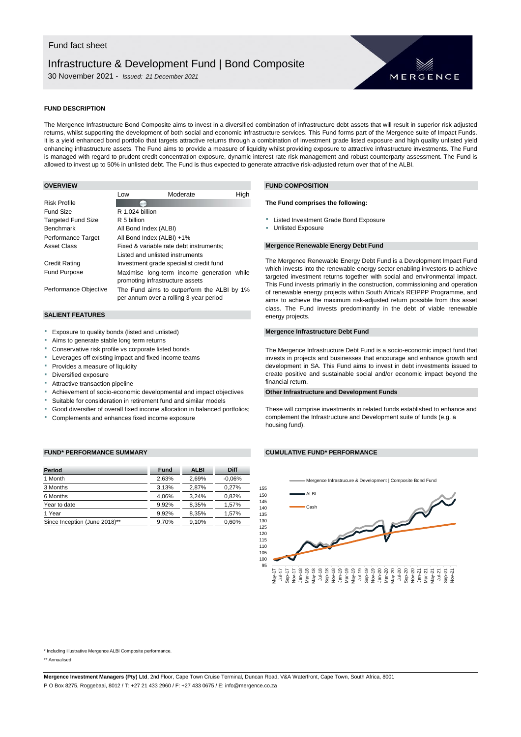# Infrastructure & Development Fund | Bond Composite

30 November 2021 - *Issued: 21 December 2021*



### **FUND DESCRIPTION**

The Mergence Infrastructure Bond Composite aims to invest in a diversified combination of infrastructure debt assets that will result in superior risk adjusted returns, whilst supporting the development of both social and economic infrastructure services. This Fund forms part of the Mergence suite of Impact Funds. It is a yield enhanced bond portfolio that targets attractive returns through a combination of investment grade listed exposure and high quality unlisted yield enhancing infrastructure assets. The Fund aims to provide a measure of liquidity whilst providing exposure to attractive infrastructure investments. The Fund is managed with regard to prudent credit concentration exposure, dynamic interest rate risk management and robust counterparty assessment. The Fund is allowed to invest up to 50% in unlisted debt. The Fund is thus expected to generate attractive risk-adjusted return over that of the ALBI.

|                           | Low                             | Moderate                                                                             | High |
|---------------------------|---------------------------------|--------------------------------------------------------------------------------------|------|
| <b>Risk Profile</b>       |                                 |                                                                                      |      |
| Fund Size                 | R 1.024 billion                 |                                                                                      |      |
| <b>Targeted Fund Size</b> | R 5 billion                     |                                                                                      |      |
| <b>Benchmark</b>          | All Bond Index (ALBI)           |                                                                                      |      |
| Performance Target        | All Bond Index (ALBI) +1%       |                                                                                      |      |
| Asset Class               |                                 | Fixed & variable rate debt instruments;                                              |      |
|                           | Listed and unlisted instruments |                                                                                      |      |
| <b>Credit Rating</b>      |                                 | Investment grade specialist credit fund                                              |      |
| <b>Fund Purpose</b>       | promoting infrastructure assets | Maximise long-term income generation while                                           |      |
| Performance Objective     |                                 | The Fund aims to outperform the ALBI by 1%<br>per annum over a rolling 3-year period |      |

#### **SALIENT FEATURES**

- Exposure to quality bonds (listed and unlisted)
- Aims to generate stable long term returns
- Conservative risk profile vs corporate listed bonds
- Leverages off existing impact and fixed income teams
- **Provides a measure of liquidity**
- Diversified exposure
- Attractive transaction pipeline
- Achievement of socio-economic developmental and impact objectives
- Suitable for consideration in retirement fund and similar models
- Good diversifier of overall fixed income allocation in balanced portfolios;
- Complements and enhances fixed income exposure

#### **FUND\* PERFORMANCE SUMMARY CUMULATIVE FUND\* PERFORMANCE**

| <b>Period</b>                 | <b>Fund</b> | <b>ALBI</b> | <b>Diff</b> |
|-------------------------------|-------------|-------------|-------------|
| 1 Month                       | 2.63%       | 2.69%       | $-0.06%$    |
| 3 Months                      | 3.13%       | 2.87%       | 0.27%       |
| 6 Months                      | 4.06%       | 3.24%       | 0.82%       |
| Year to date                  | 9.92%       | 8,35%       | 1,57%       |
| 1 Year                        | 9.92%       | 8.35%       | 1,57%       |
| Since Inception (June 2018)** | 9.70%       | 9.10%       | 0,60%       |

## **OVERVIEW FUND COMPOSITION**

#### **The Fund comprises the following:**

- **Executive Exposure** Targeted Investment Grade Bond Exposure
- **Unlisted Exposure**

#### **Mergence Renewable Energy Debt Fund**

The Mergence Renewable Energy Debt Fund is a Development Impact Fund which invests into the renewable energy sector enabling investors to achieve targeted investment returns together with social and environmental impact. This Fund invests primarily in the construction, commissioning and operation of renewable energy projects within South Africa's REIPPP Programme, and aims to achieve the maximum risk-adjusted return possible from this asset class. The Fund invests predominantly in the debt of viable renewable energy projects.

#### **Mergence Infrastructure Debt Fund**

The Mergence Infrastructure Debt Fund is a socio-economic impact fund that invests in projects and businesses that encourage and enhance growth and development in SA. This Fund aims to invest in debt investments issued to create positive and sustainable social and/or economic impact beyond the financial return.

#### **Other Infrastructure and Development Funds**

These will comprise investments in related funds established to enhance and complement the Infrastructure and Development suite of funds (e.g. a housing fund).

95 100 105 110 115 120 125 130  $135$ 140 145 150 155 May-17 Jul-17 Sep-17 Nov-17 Jan-18 Mar-18 May-18 Jul-18 Sep-18 Nov-18 Jan-19 Mar-19 May-19 Jul-19 Sep-19 Nov-19 Jan-20 Mar-20 May-20 Jul-20 Sep-20 Nov-20 Jan-21 Mar-21 May-21 Jul-21 Sep-21 Nov-21 Mergence Infrastrucure & Development | Composite Bond Fund ALBI Cash

\* Including illustrative Mergence ALBI Composite performance.

\*\* Annualised

**Mergence Investment Managers (Pty) Ltd**, 2nd Floor, Cape Town Cruise Terminal, Duncan Road, V&A Waterfront, Cape Town, South Africa, 8001

P O Box 8275, Roggebaai, 8012 / T: +27 21 433 2960 / F: +27 433 0675 / E: info@mergence.co.za